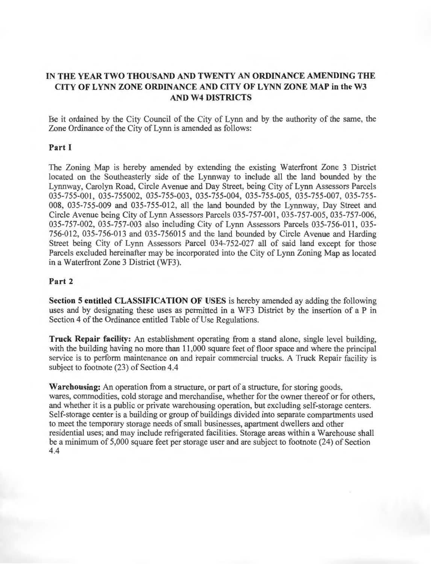# **IN THE YEAR TWO THOUSAND AND TWENTY AN ORDINANCE AMENDING THE CITY OFLYNN ZONE ORDINANCE AND CITY OFLYNN ZONE MAP in the W3 AND W4 DISTRICTS**

Be it ordained by the City Council of the City of Lynn and by the authority of the same, the Zone Ordinance of the City of Lynn is amended as follows:

#### **Part I**

The Zoning Map is hereby amended by extending the existing Waterfront Zone 3 District located on the Southeasterly side of the Lynnway to include all the land bounded by the Lynnway, Carolyn Road, Circle Avenue and Day Street, being City of Lynn Assessors Parcels 035-755-001, 035-755002, 035-755-003, 035-755-004, 035-755-005, 035-755-007, 035-755-008, 035-755-009 and 035-755-012, all the land bounded by the Lynnway, Day Street and Circle Avenue being City of Lynn Assessors Parcels 035-757-001 , 035-757-005, 035-757-006, 035-757-002, 035-757-003 also including City of Lynn Assessors Parcels 035-756-011, 035-756-012, 035-756-013 and 035-756015 and the land bounded by Circle Avenue and Harding Street being City of Lynn Assessors Parcel 034-752-027 all of said land except for those Parcels excluded hereinafter may be incorporated into the City of Lynn Zoning Map as located in a Waterfront Zone 3 District (WF3).

### **Part 2**

**Section 5 entitled CLASSIFICATION OF USES** is hereby amended ay adding the following uses and by designating these uses as permitted in a WF3 District by the insertion of a P in Section 4 of the Ordinance entitled Table of Use Regulations.

**Truck Repair facility:** An establishment operating from a stand alone, single level building, with the building having no more than 11,000 square feet of floor space and where the principal service is to perform maintenance on and repair commercial trucks. A Truck Repair facility is subject to footnote (23) of Section 4.4

**Warehousing:** An operation from a structure, or part of a structure, for storing goods, wares, commodities, cold storage and merchandise, whether for the owner thereof or for others, and whether it is a public or private warehousing operation, but excluding self-storage centers. Self-storage center is a building or group of buildings divided into separate compartments used to meet the temporary storage needs of small businesses, apartment dwellers and other residential uses; and may include refrigerated facilities. Storage areas within a Warehouse shall be a minimum of 5,000 square feet per storage user and are subject to footnote (24) of Section 4.4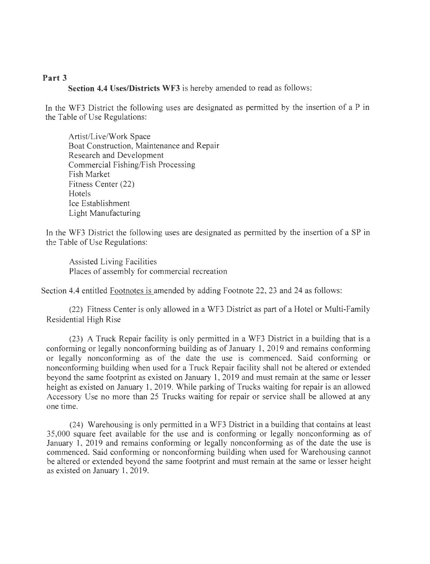#### **Part 3**

**Section 4.4 Uses/Districts WF3** is hereby amended to read as follows:

In the WF3 District the following uses are designated as permitted by the insertion of a P in the Table of Use Regulations:

Artist/Live/Work Space Boat Construction, Maintenance and Repair Research and Development Commercial Fishing/Fish Processing Fish Market Fitness Center (22) **Hotels** Ice Establishment Light Manufacturing

In the WF3 District the following uses are designated as permitted by the insertion of a SP in the Table of Use Regulations:

Assisted Living Facilities Places of assembly for commercial recreation

Section 4.4 entitled Footnotes is amended by adding Footnote 22, 23 and 24 as follows:

(22) Fitness Center is only allowed in a WF3 District as part of a Hotel or Multi-Family Residential High Rise

(23) A Truck Repair facility is only permitted in a WF3 District in a building that is a conforming or legally nonconforming building as of January 1, 2019 and remains conforming or legally nonconforming as of the date the use is commenced. Said conforming or nonconforming building when used for a Truck Repair facility shall not be altered or extended beyond the same footprint as existed on January 1, 2019 and must remain at the same or lesser height as existed on January 1, 2019. While parking of Trucks waiting for repair is an allowed Accessory Use no more than 25 Trucks waiting for repair or service shall be allowed at any one time.

(24) Warehousing is only permitted in a WF3 District in a building that contains at least 35,000 square feet available for the use and is conforming or legally nonconforming as of January 1, 2019 and remains conforming or legally nonconforming as of the date the use is commenced. Said conforming or nonconforming building when used for Warehousing cannot be altered or extended beyond the same footprint and must remain at the same or lesser height as existed on January 1, 2019.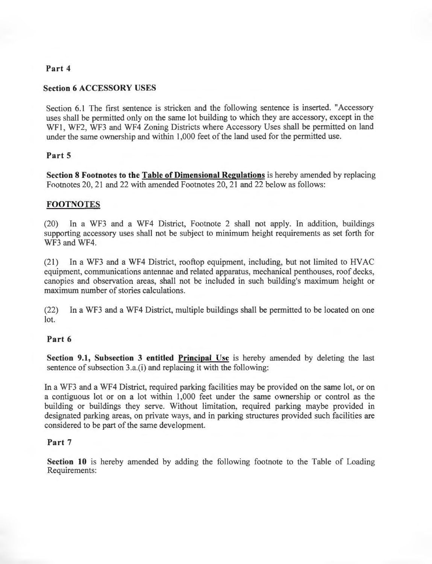### **Part 4**

#### **Section 6 ACCESSORY USES**

Section 6.1 The first sentence is stricken and the following sentence is inserted. "Accessory uses shall be permitted only on the same lot building to which they are accessory, except in the WF1, WF2, WF3 and WF4 Zoning Districts where Accessory Uses shall be permitted on land under the same ownership and within 1,000 feet of the land used for the permitted use.

### **Part 5**

**Section 8 Footnotes to the Table of Dimensional Regulations** is hereby amended by replacing Footnotes 20, 21 and 22 with amended Footnotes 20, 21 and 22 below as follows:

## **FOOTNOTES**

(20) In a WF3 and a WF4 District, Footnote 2 shall not apply. In addition, buildings supporting accessory uses shall not be subject to minimum height requirements as set forth for WF3 and WF4.

(21) In a WF3 and a WF4 District, rooftop equipment, including, but not limited to HVAC equipment, communications antennae and related apparatus, mechanical penthouses, roof decks, canopies and observation areas, shall not be included in such building's maximum height or maximum number of stories calculations.

(22) In a WF3 and a WF4 District, multiple buildings shall be permitted to be located on one lot.

#### **Part 6**

**Section 9.1, Subsection 3 entitled Principal Use** is hereby amended by deleting the last sentence of subsection 3.a.(i) and replacing it with the following:

In a WF3 and a WF4 District, required parking facilities may be provided on the same lot, or on a contiguous lot or on a lot within 1,000 feet under the same ownership or control as the building or buildings they serve. Without limitation, required parking maybe provided in designated parking areas, on private ways, and in parking structures provided such facilities are considered to be part of the same development.

#### **Part 7**

**Section 10** is hereby amended by adding the following footnote to the Table of Loading Requirements: